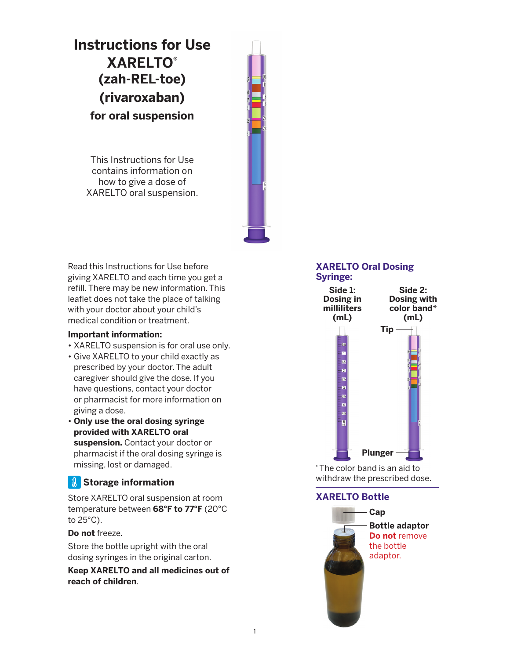# **Instructions for Use XARELTO® (zah-REL-toe) (rivaroxaban) for oral suspension**

This Instructions for Use contains information on how to give a dose of XARELTO oral suspension.



Read this Instructions for Use before giving XARELTO and each time you get a refill. There may be new information. This leaflet does not take the place of talking with your doctor about your child's medical condition or treatment.

#### **Important information:**

- XARELTO suspension is for oral use only.
- Give XARELTO to your child exactly as prescribed by your doctor. The adult caregiver should give the dose. If you have questions, contact your doctor or pharmacist for more information on giving a dose.
- **Only use the oral dosing syringe provided with XARELTO oral suspension.** Contact your doctor or pharmacist if the oral dosing syringe is missing, lost or damaged.

# *Storage information*

Store XARELTO oral suspension at room temperature between **68°F to 77°F** (20°C to 25°C).

**Do not** freeze.

Store the bottle upright with the oral dosing syringes in the original carton.

**Keep XARELTO and all medicines out of reach of children**.

#### **XARELTO Oral Dosing Syringe:**



**\*** The color band is an aid to withdraw the prescribed dose.

# **XARELTO Bottle**

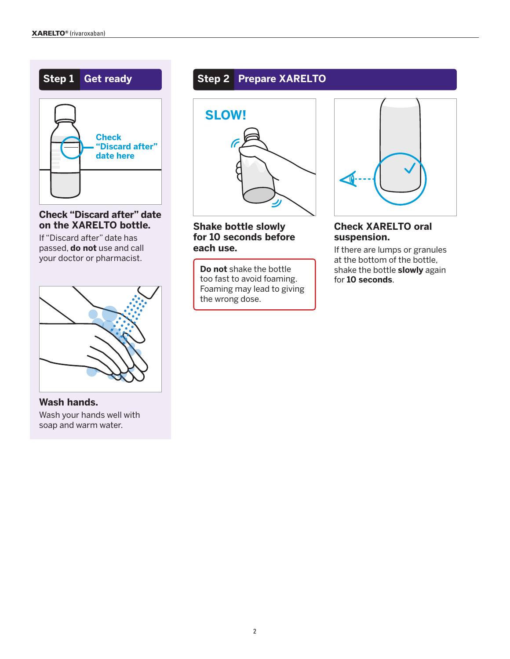

**Check "Discard after" date on the XARELTO bottle.**

If "Discard after" date has passed, **do not** use and call your doctor or pharmacist.



**Wash hands.** Wash your hands well with soap and warm water.

# **Step 1 Get ready Step 2 Prepare XARELTO**



### **Shake bottle slowly for 10 seconds before each use.**

**Do not** shake the bottle too fast to avoid foaming. Foaming may lead to giving the wrong dose.



# **Check XARELTO oral suspension.**

If there are lumps or granules at the bottom of the bottle, shake the bottle **slowly** again for **10 seconds**.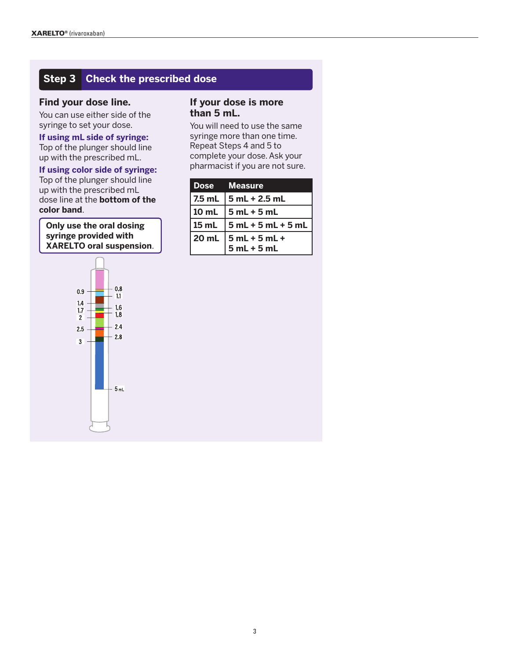# **Step 3 Check the prescribed dose**

#### **Find your dose line.**

You can use either side of the syringe to set your dose.

**If using mL side of syringe:**  Top of the plunger should line up with the prescribed mL.

**If using color side of syringe:**  Top of the plunger should line up with the prescribed mL dose line at the **bottom of the color band**.

**Only use the oral dosing syringe provided with XARELTO oral suspension**.



#### **If your dose is more than 5 mL.**

You will need to use the same syringe more than one time. Repeat Steps 4 and 5 to complete your dose. Ask your pharmacist if you are not sure.

| Dose Measure                         |
|--------------------------------------|
| $7.5$ mL $\,$ 5 mL + 2.5 mL          |
| $10$ mL $\overline{5}$ mL + 5 mL     |
| $15$ mL $\,$ $\,$ 5 mL + 5 mL + 5 mL |
| $20$ mL $ 5$ mL + 5 mL +             |
| $5 mL + 5 mL$                        |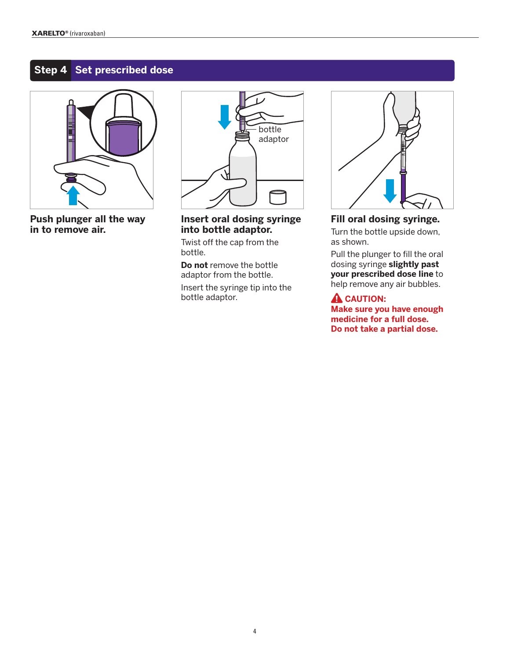# **Step 4 Set prescribed dose**



**Push plunger all the way in to remove air.**



**Insert oral dosing syringe into bottle adaptor.**

Twist off the cap from the bottle.

**Do not** remove the bottle adaptor from the bottle. Insert the syringe tip into the

bottle adaptor.



# **Fill oral dosing syringe.**

Turn the bottle upside down, as shown.

Pull the plunger to fill the oral dosing syringe **slightly past your prescribed dose line** to help remove any air bubbles.

#### **A** CAUTION:

**Make sure you have enough medicine for a full dose. Do not take a partial dose.**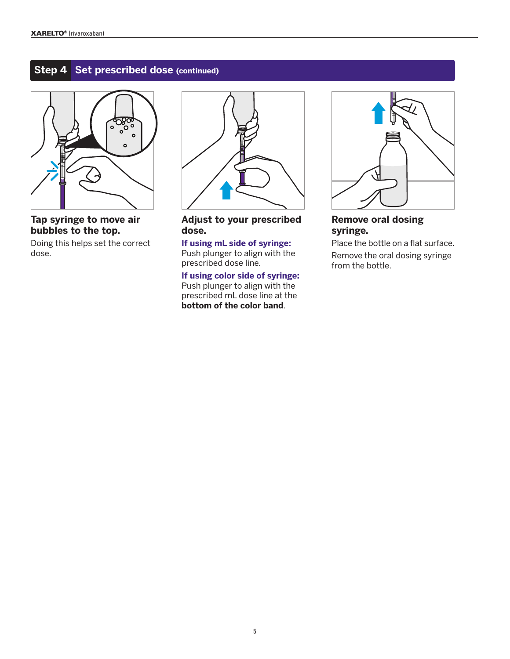# **Step 4 Set prescribed dose (continued)**



## **Tap syringe to move air bubbles to the top.**

Doing this helps set the correct dose.



#### **Adjust to your prescribed dose.**

**If using mL side of syringe:**  Push plunger to align with the prescribed dose line.

**If using color side of syringe:** Push plunger to align with the prescribed mL dose line at the **bottom of the color band**.



# **Remove oral dosing syringe.**

Place the bottle on a flat surface. Remove the oral dosing syringe from the bottle.